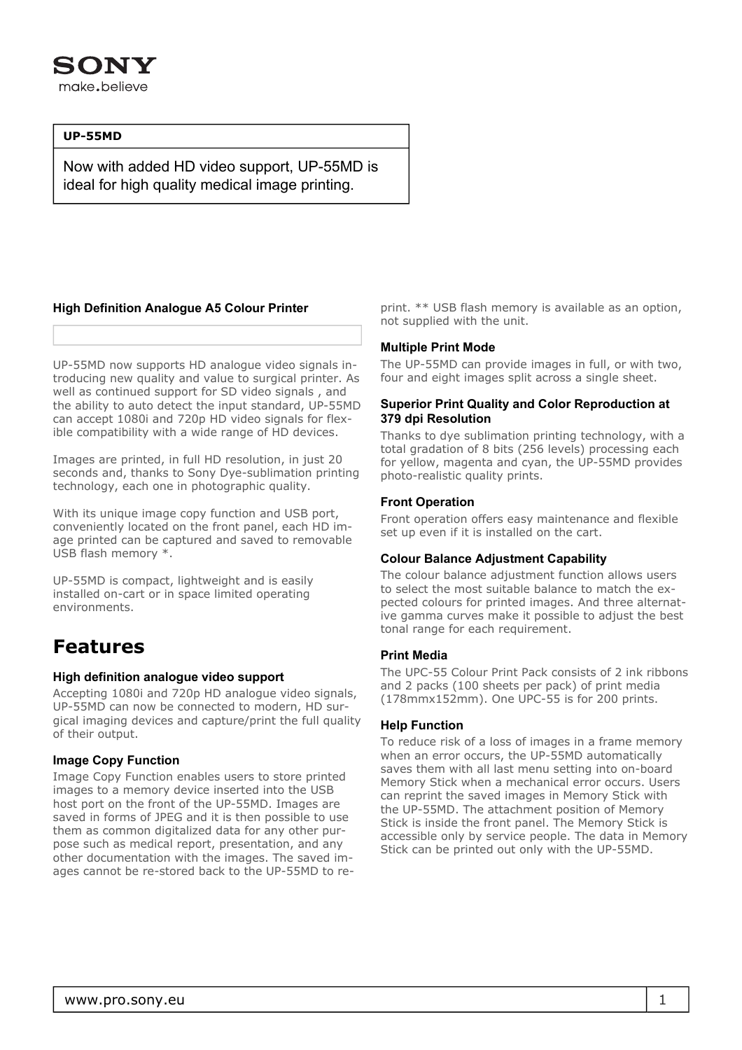

#### **UP-55MD**

Now with added HD video support, UP-55MD is ideal for high quality medical image printing.

#### **High Definition Analogue A5 Colour Printer**

UP-55MD now supports HD analogue video signals introducing new quality and value to surgical printer. As well as continued support for SD video signals , and the ability to auto detect the input standard, UP-55MD can accept 1080i and 720p HD video signals for flexible compatibility with a wide range of HD devices.

Images are printed, in full HD resolution, in just 20 seconds and, thanks to Sony Dye-sublimation printing technology, each one in photographic quality.

With its unique image copy function and USB port, conveniently located on the front panel, each HD image printed can be captured and saved to removable USB flash memory \*.

UP-55MD is compact, lightweight and is easily installed on-cart or in space limited operating environments.

### **Features**

#### **High definition analogue video support**

Accepting 1080i and 720p HD analogue video signals, UP-55MD can now be connected to modern, HD surgical imaging devices and capture/print the full quality of their output.

#### **Image Copy Function**

Image Copy Function enables users to store printed images to a memory device inserted into the USB host port on the front of the UP-55MD. Images are saved in forms of JPEG and it is then possible to use them as common digitalized data for any other purpose such as medical report, presentation, and any other documentation with the images. The saved images cannot be re-stored back to the UP-55MD to reprint. \*\* USB flash memory is available as an option, not supplied with the unit.

#### **Multiple Print Mode**

The UP-55MD can provide images in full, or with two, four and eight images split across a single sheet.

#### **Superior Print Quality and Color Reproduction at 379 dpi Resolution**

Thanks to dye sublimation printing technology, with a total gradation of 8 bits (256 levels) processing each for yellow, magenta and cyan, the UP-55MD provides photo-realistic quality prints.

#### **Front Operation**

Front operation offers easy maintenance and flexible set up even if it is installed on the cart.

#### **Colour Balance Adjustment Capability**

The colour balance adjustment function allows users to select the most suitable balance to match the expected colours for printed images. And three alternative gamma curves make it possible to adjust the best tonal range for each requirement.

#### **Print Media**

The UPC-55 Colour Print Pack consists of 2 ink ribbons and 2 packs (100 sheets per pack) of print media (178mmx152mm). One UPC-55 is for 200 prints.

#### **Help Function**

To reduce risk of a loss of images in a frame memory when an error occurs, the UP-55MD automatically saves them with all last menu setting into on-board Memory Stick when a mechanical error occurs. Users can reprint the saved images in Memory Stick with the UP-55MD. The attachment position of Memory Stick is inside the front panel. The Memory Stick is accessible only by service people. The data in Memory Stick can be printed out only with the UP-55MD.